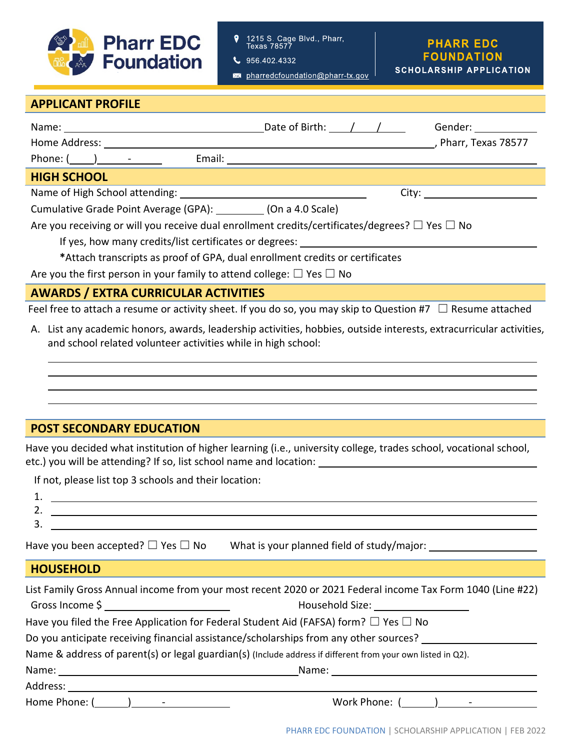

1215 S. Cage Blvd., Pharr,<br>Texas 78577 9

 $\bigcup$  956.402.4332

pharredcfoundation@pharr-tx.gov

### **PHARR EDC FOUNDATION SCHOLARSHIP APPLICATION**

# **APPLICANT PROFILE**

| Name: $\sqrt{2\pi}$ Date of Birth: $\sqrt{2\pi}$                                                                 |                                                                                                                      |  |  | Gender: _____________ |
|------------------------------------------------------------------------------------------------------------------|----------------------------------------------------------------------------------------------------------------------|--|--|-----------------------|
| Home Address:                                                                                                    |                                                                                                                      |  |  | , Pharr, Texas 78577  |
| Phone: $(\_\_\_\_\_\_$                                                                                           | Email: <u>Alexander and Alexander and Alexander and Alexander and Alexander and Alexander and Alexander and Alex</u> |  |  |                       |
| <b>HIGH SCHOOL</b>                                                                                               |                                                                                                                      |  |  |                       |
|                                                                                                                  |                                                                                                                      |  |  |                       |
| Cumulative Grade Point Average (GPA): (On a 4.0 Scale)                                                           |                                                                                                                      |  |  |                       |
| Are you receiving or will you receive dual enrollment credits/certificates/degrees? $\square$ Yes $\square$ No   |                                                                                                                      |  |  |                       |
| If yes, how many credits/list certificates or degrees: _____________                                             |                                                                                                                      |  |  |                       |
| *Attach transcripts as proof of GPA, dual enrollment credits or certificates                                     |                                                                                                                      |  |  |                       |
| Are you the first person in your family to attend college: $\Box$ Yes $\Box$ No                                  |                                                                                                                      |  |  |                       |
| <b>AWARDS / EXTRA CURRICULAR ACTIVITIES</b>                                                                      |                                                                                                                      |  |  |                       |
| Feel free to attach a resume or activity sheet. If you do so, you may skip to Question #7 $\Box$ Resume attached |                                                                                                                      |  |  |                       |

A. List any academic honors, awards, leadership activities, hobbies, outside interests, extracurricular activities, and school related volunteer activities while in high school:

# **POST SECONDARY EDUCATION**

Have you decided what institution of higher learning (i.e., university college, trades school, vocational school, etc.) you will be attending? If so, list school name and location:

If not, please list top 3 schools and their location:

- 1.
- 2.
- 3. Have you been accepted? ☐ Yes ☐ No What is your planned field of study/major:

### **HOUSEHOLD**

l l

|                 | List Family Gross Annual income from your most recent 2020 or 2021 Federal income Tax Form 1040 (Line #22)                                                                                                                     |  |  |
|-----------------|--------------------------------------------------------------------------------------------------------------------------------------------------------------------------------------------------------------------------------|--|--|
|                 |                                                                                                                                                                                                                                |  |  |
|                 | Have you filed the Free Application for Federal Student Aid (FAFSA) form? $\Box$ Yes $\Box$ No                                                                                                                                 |  |  |
|                 | Do you anticipate receiving financial assistance/scholarships from any other sources?                                                                                                                                          |  |  |
|                 | Name & address of parent(s) or legal guardian(s) (Include address if different from your own listed in Q2).                                                                                                                    |  |  |
|                 | Name: when the contract of the contract of the contract of the contract of the contract of the contract of the contract of the contract of the contract of the contract of the contract of the contract of the contract of the |  |  |
| Address:        |                                                                                                                                                                                                                                |  |  |
| Home Phone: ( ) | Work Phone: ( )                                                                                                                                                                                                                |  |  |